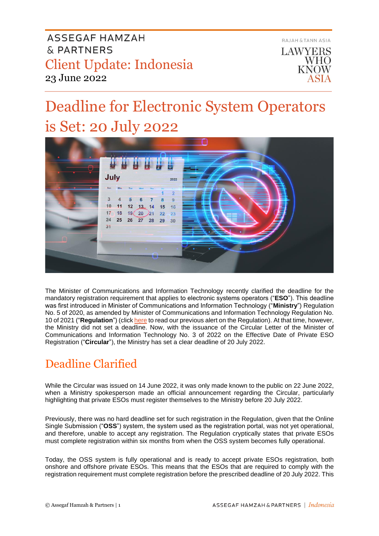

# Deadline for Electronic System Operators is Set: 20 July 2022



The Minister of Communications and Information Technology recently clarified the deadline for the mandatory registration requirement that applies to electronic systems operators ("**ESO**"). This deadline was first introduced in Minister of Communications and Information Technology ("**Ministry**") Regulation No. 5 of 2020, as amended by Minister of Communications and Information Technology Regulation No. 10 of 2021 ("**Regulation**") (click [here](https://www.ahp.id/client-update-10-february-2021/) to read our previous alert on the Regulation). At that time, however, the Ministry did not set a deadline. Now, with the issuance of the Circular Letter of the Minister of Communications and Information Technology No. 3 of 2022 on the Effective Date of Private ESO Registration ("**Circular**"), the Ministry has set a clear deadline of 20 July 2022.

## Deadline Clarified

While the Circular was issued on 14 June 2022, it was only made known to the public on 22 June 2022, when a Ministry spokesperson made an official announcement regarding the Circular, particularly highlighting that private ESOs must register themselves to the Ministry before 20 July 2022.

Previously, there was no hard deadline set for such registration in the Regulation, given that the Online Single Submission ("**OSS**") system, the system used as the registration portal, was not yet operational, and therefore, unable to accept any registration. The Regulation cryptically states that private ESOs must complete registration within six months from when the OSS system becomes fully operational.

Today, the OSS system is fully operational and is ready to accept private ESOs registration, both onshore and offshore private ESOs. This means that the ESOs that are required to comply with the registration requirement must complete registration before the prescribed deadline of 20 July 2022. This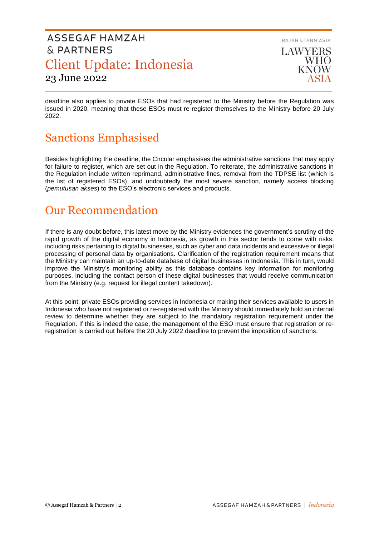RAJAH & TANN ASIA LAWYERS **WHO KNOW** 

deadline also applies to private ESOs that had registered to the Ministry before the Regulation was issued in 2020, meaning that these ESOs must re-register themselves to the Ministry before 20 July 2022.

## Sanctions Emphasised

Besides highlighting the deadline, the Circular emphasises the administrative sanctions that may apply for failure to register, which are set out in the Regulation. To reiterate, the administrative sanctions in the Regulation include written reprimand, administrative fines, removal from the TDPSE list (which is the list of registered ESOs), and undoubtedly the most severe sanction, namely access blocking (*pemutusan akses*) to the ESO's electronic services and products.

## Our Recommendation

If there is any doubt before, this latest move by the Ministry evidences the government's scrutiny of the rapid growth of the digital economy in Indonesia, as growth in this sector tends to come with risks, including risks pertaining to digital businesses, such as cyber and data incidents and excessive or illegal processing of personal data by organisations. Clarification of the registration requirement means that the Ministry can maintain an up-to-date database of digital businesses in Indonesia. This in turn, would improve the Ministry's monitoring ability as this database contains key information for monitoring purposes, including the contact person of these digital businesses that would receive communication from the Ministry (e.g. request for illegal content takedown).

At this point, private ESOs providing services in Indonesia or making their services available to users in Indonesia who have not registered or re-registered with the Ministry should immediately hold an internal review to determine whether they are subject to the mandatory registration requirement under the Regulation. If this is indeed the case, the management of the ESO must ensure that registration or reregistration is carried out before the 20 July 2022 deadline to prevent the imposition of sanctions.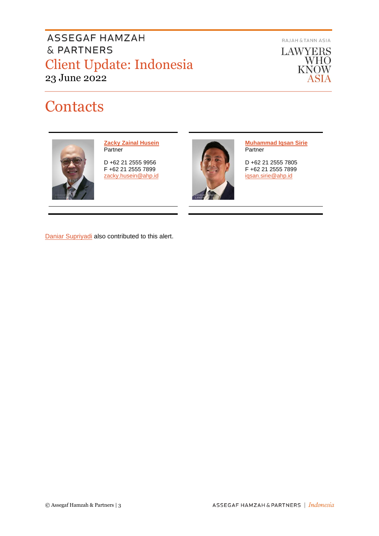RAJAH & TANN ASIA

**LAWYERS WHO**<br>KNOW ASIA

## **Contacts**



**[Zacky Zainal Husein](https://www.ahp.id/zacky-zainal-husein/) Partner** 

D +62 21 2555 9956 F +62 21 2555 7899 [zacky.husein@ahp.id](mailto:zacky.husein@ahp.id)



**[Muhammad Iqsan Sirie](https://www.ahp.id/muhammad-iqsan-sirie/) Partner** 

D +62 21 2555 7805 F +62 21 2555 7899 [iqsan.sirie@ahp.id](mailto:iqsan.sirie@ahp.id)

[Daniar Supriyadi](mailto:daniar.supriyadi@ahp.id) also contributed to this alert.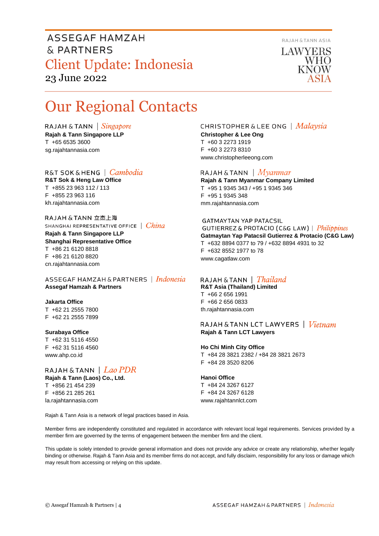RAJAH & TANN ASIA LAWYERS

**WHO KNOW** 

## Our Regional Contacts

RAJAH & TANN  $\int$  *Singapore* **Rajah & Tann Singapore LLP** T +65 6535 3600 sg.rajahtannasia.com

R&T SOK&HENG | Cambodia **R&T Sok & Heng Law Office** T +855 23 963 112 / 113 F +855 23 963 116 kh.rajahtannasia.com

RAJAH & TANN 立杰上海 SHANGHAI REPRESENTATIVE OFFICE | China

**Rajah & Tann Singapore LLP Shanghai Representative Office** T +86 21 6120 8818 F +86 21 6120 8820 cn.rajahtannasia.com

ASSEGAF HAMZAH & PARTNERS | Indonesia **Assegaf Hamzah & Partners**

**Jakarta Office** T +62 21 2555 7800 F +62 21 2555 7899

#### **Surabaya Office**

T +62 31 5116 4550 F +62 31 5116 4560 www.ahp.co.id

RAJAH & TANN  $|$  Lao PDR **Rajah & Tann (Laos) Co., Ltd.**

T +856 21 454 239 F +856 21 285 261 la.rajahtannasia.com

#### **CHRISTOPHER & LEE ONG** | Malaysia **Christopher & Lee Ong**

T +60 3 2273 1919 F +60 3 2273 8310 www.christopherleeong.com

RAJAH & TANN  $\mid$  *Myanmar* 

**Rajah & Tann Myanmar Company Limited** T +95 1 9345 343 / +95 1 9345 346 F +95 1 9345 348 mm.rajahtannasia.com

#### **GATMAYTAN YAP PATACSIL**

GUTIERREZ & PROTACIO (C&G LAW) | Philippines **Gatmaytan Yap Patacsil Gutierrez & Protacio (C&G Law)**  T +632 8894 0377 to 79 / +632 8894 4931 to 32 F +632 8552 1977 to 78 www.cagatlaw.com

#### RAJAH & TANN | *Thailand*

**R&T Asia (Thailand) Limited** T +66 2 656 1991 F +66 2 656 0833 th.rajahtannasia.com

#### RAJAH & TANN LCT LAWYERS | Vietnam **Rajah & Tann LCT Lawyers**

#### **Ho Chi Minh City Office**

T +84 28 3821 2382 / +84 28 3821 2673 F +84 28 3520 8206

#### **Hanoi Office**

T +84 24 3267 6127 F +84 24 3267 6128 www.rajahtannlct.com

Rajah & Tann Asia is a network of legal practices based in Asia.

Member firms are independently constituted and regulated in accordance with relevant local legal requirements. Services provided by a member firm are governed by the terms of engagement between the member firm and the client.

This update is solely intended to provide general information and does not provide any advice or create any relationship, whether legally binding or otherwise. Rajah & Tann Asia and its member firms do not accept, and fully disclaim, responsibility for any loss or damage which may result from accessing or relying on this update.